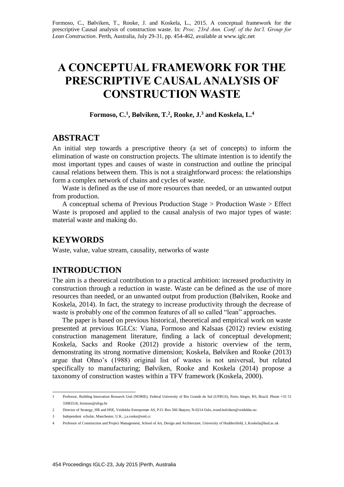Formoso, C., Bølviken, T., Rooke, J. and Koskela, L., 2015. A conceptual framework for the prescriptive Causal analysis of construction waste. In: *Proc. 23rd Ann. Conf. of the Int'l. Group for Lean Construction*. Perth, Australia, July 29-31, pp. 454-462, available at [www.iglc.net](http://www.iglc.net/)

# **A CONCEPTUAL FRAMEWORK FOR THE PRESCRIPTIVE CAUSAL ANALYSIS OF CONSTRUCTION WASTE**

**Formoso, C.<sup>1</sup> , Bølviken, T.<sup>2</sup> , Rooke, J.<sup>3</sup> and Koskela, L.<sup>4</sup>**

## **ABSTRACT**

An initial step towards a prescriptive theory (a set of concepts) to inform the elimination of waste on construction projects. The ultimate intention is to identify the most important types and causes of waste in construction and outline the principal causal relations between them. This is not a straightforward process: the relationships form a complex network of chains and cycles of waste.

Waste is defined as the use of more resources than needed, or an unwanted output from production.

A conceptual schema of Previous Production Stage > Production Waste > Effect Waste is proposed and applied to the causal analysis of two major types of waste: material waste and making do.

## **KEYWORDS**

Waste, value, value stream, causality, networks of waste

#### **INTRODUCTION**

The aim is a theoretical contribution to a practical ambition: increased productivity in construction through a reduction in waste. Waste can be defined as the use of more resources than needed, or an unwanted output from production (Bølviken, Rooke and Koskela, 2014). In fact, the strategy to increase productivity through the decrease of waste is probably one of the common features of all so called "lean" approaches.

The paper is based on previous historical, theoretical and empirical work on waste presented at previous IGLCs: Viana, Formoso and Kalsaas (2012) review existing construction management literature, finding a lack of conceptual development; Koskela, Sacks and Rooke (2012) provide a historic overview of the term, demonstrating its strong normative dimension; Koskela, Bølviken and Rooke (2013) argue that Ohno's (1988) original list of wastes is not universal, but related specifically to manufacturing; Bølviken, Rooke and Koskela (2014) propose a taxonomy of construction wastes within a TFV framework (Koskela, 2000).

 1 Professor, Building Innovation Research Unit (NORIE), Federal University of Rio Grande do Sul (UFRGS), Porto Alegre, RS, Brazil. Phone +55 51 33083518, formoso@ufrgs.br

<sup>2</sup> Director of Strategy, HR and HSE, Veidekke Entreprenør AS, P.O. Box 506 Skøyen, N-0214 Oslo, trond.bolviken@veidekke.no

<sup>3</sup> Independent scholar, Manchester, U.K., j.a.rooke@eml.cc

<sup>4</sup> Professor of Construction and Project Management, School of Art, Design and Architecture, University of Huddersfield, L.Koskela@hud.ac.uk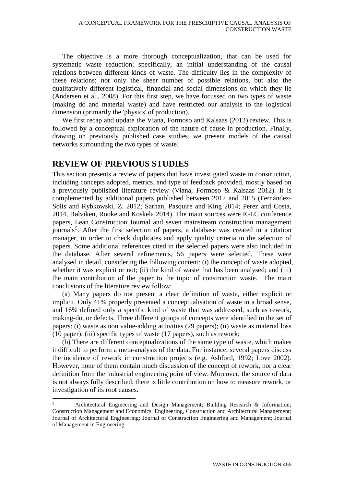The objective is a more thorough conceptualization, that can be used for systematic waste reduction; specifically, an initial understanding of the causal relations between different kinds of waste. The difficulty lies in the complexity of these relations; not only the sheer number of possible relations, but also the qualitatively different logistical, financial and social dimensions on which they lie (Andersen et al., 2008). For this first step, we have focussed on two types of waste (making do and material waste) and have restricted our analysis to the logistical dimension (primarily the 'physics' of production).

We first recap and update the Viana, Formoso and Kalsaas (2012) review. This is followed by a conceptual exploration of the nature of cause in production. Finally, drawing on previously published case studies, we present models of the causal networks surrounding the two types of waste.

# **REVIEW OF PREVIOUS STUDIES**

1

This section presents a review of papers that have investigated waste in construction, including concepts adopted, metrics, and type of feedback provided, mostly based on a previously published literature review (Viana, Formoso & Kalsaas 2012). It is complemented by additional papers published between 2012 and 2015 (Fernández-Solis and Rybkowski, Z. 2012; Sarhan, Pasquire and King 2014; Perez and Costa, 2014, Bølviken, Rooke and Koskela 2014). The main sources were IGLC conference papers, Lean Construction Journal and seven mainstream construction management journals<sup>5</sup>. After the first selection of papers, a database was created in a citation manager, in order to check duplicates and apply quality criteria in the selection of papers. Some additional references cited in the selected papers were also included in the database. After several refinements, 56 papers were selected. These were analysed in detail, considering the following content: (i) the concept of waste adopted, whether it was explicit or not; (ii) the kind of waste that has been analysed; and (iii) the main contribution of the paper to the topic of construction waste. The main conclusions of the literature review follow:

(a) Many papers do not present a clear definition of waste, either explicit or implicit. Only 41% properly presented a conceptualisation of waste in a broad sense, and 16% defined only a specific kind of waste that was addressed, such as rework, making-do, or defects. Three different groups of concepts were identified in the set of papers: (i) waste as non value-adding activities (29 papers); (ii) waste as material loss (10 paper); (iii) specific types of waste (17 papers), such as rework;

(b) There are different conceptualizations of the same type of waste, which makes it difficult to perform a meta-analysis of the data. For instance, several papers discuss the incidence of rework in construction projects (e.g. Ashford, 1992; Love 2002). However, none of them contain much discussion of the concept of rework, nor a clear definition from the industrial engineering point of view. Moreover, the source of data is not always fully described, there is little contribution on how to measure rework, or investigation of its root causes.

 $5$  Architectural Engineering and Design Management; Building Research & Information; Construction Management and Economics; Engineering, Construction and Architectural Management; Journal of Architectural Engineering; Journal of Construction Engineering and Management; Journal of Management in Engineering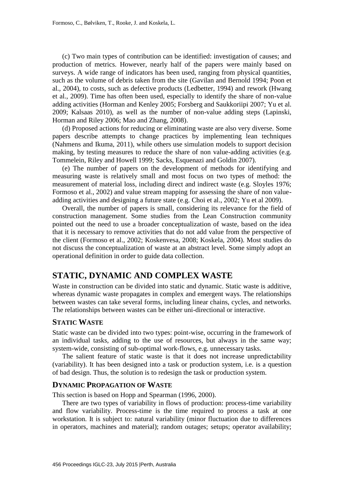(c) Two main types of contribution can be identified: investigation of causes; and production of metrics. However, nearly half of the papers were mainly based on surveys. A wide range of indicators has been used, ranging from physical quantities, such as the volume of debris taken from the site (Gavilan and Bernold 1994; Poon et al., 2004), to costs, such as defective products (Ledbetter, 1994) and rework (Hwang et al., 2009). Time has often been used, especially to identify the share of non-value adding activities (Horman and Kenley 2005; Forsberg and Saukkoriipi 2007; Yu et al. 2009; Kalsaas 2010), as well as the number of non-value adding steps (Lapinski, Horman and Riley 2006; Mao and Zhang, 2008).

(d) Proposed actions for reducing or eliminating waste are also very diverse. Some papers describe attempts to change practices by implementing lean techniques (Nahmens and Ikuma, 2011), while others use simulation models to support decision making, by testing measures to reduce the share of non value-adding activities (e.g. Tommelein, Riley and Howell 1999; Sacks, Esquenazi and Goldin 2007).

(e) The number of papers on the development of methods for identifying and measuring waste is relatively small and most focus on two types of method: the measurement of material loss, including direct and indirect waste (e.g. Sloyles 1976; Formoso et al., 2002) and value stream mapping for assessing the share of non valueadding activities and designing a future state (e.g. Choi et al., 2002; Yu et al 2009).

Overall, the number of papers is small, considering its relevance for the field of construction management. Some studies from the Lean Construction community pointed out the need to use a broader conceptualization of waste, based on the idea that it is necessary to remove activities that do not add value from the perspective of the client (Formoso et al., 2002; Koskenvesa, 2008; Koskela, 2004). Most studies do not discuss the conceptualization of waste at an abstract level. Some simply adopt an operational definition in order to guide data collection.

## **STATIC, DYNAMIC AND COMPLEX WASTE**

Waste in construction can be divided into static and dynamic. Static waste is additive, whereas dynamic waste propagates in complex and emergent ways. The relationships between wastes can take several forms, including linear chains, cycles, and networks. The relationships between wastes can be either uni-directional or interactive.

#### **STATIC WASTE**

Static waste can be divided into two types: point-wise, occurring in the framework of an individual tasks, adding to the use of resources, but always in the same way; system-wide, consisting of sub-optimal work-flows, e.g. unnecessary tasks.

The salient feature of static waste is that it does not increase unpredictability (variability). It has been designed into a task or production system, i.e. is a question of bad design. Thus, the solution is to redesign the task or production system.

#### **DYNAMIC PROPAGATION OF WASTE**

This section is based on Hopp and Spearman (1996, 2000).

There are two types of variability in flows of production: process-time variability and flow variability. Process-time is the time required to process a task at one workstation. It is subject to: natural variability (minor fluctuation due to differences in operators, machines and material); random outages; setups; operator availability;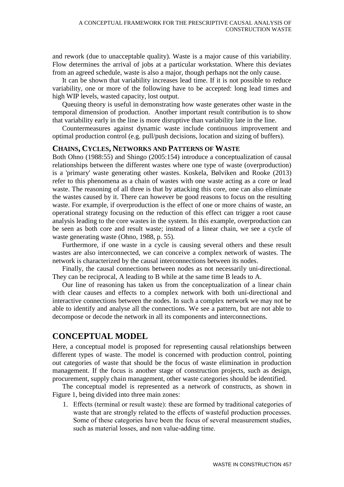and rework (due to unacceptable quality). Waste is a major cause of this variability. Flow determines the arrival of jobs at a particular workstation. Where this deviates from an agreed schedule, waste is also a major, though perhaps not the only cause.

It can be shown that variability increases lead time. If it is not possible to reduce variability, one or more of the following have to be accepted: long lead times and high WIP levels, wasted capacity, lost output.

Queuing theory is useful in demonstrating how waste generates other waste in the temporal dimension of production. Another important result contribution is to show that variability early in the line is more disruptive than variability late in the line.

Countermeasures against dynamic waste include continuous improvement and optimal production control (e.g. pull/push decisions, location and sizing of buffers).

#### **CHAINS, CYCLES, NETWORKS AND PATTERNS OF WASTE**

Both Ohno (1988:55) and Shingo (2005:154) introduce a conceptualization of causal relationships between the different wastes where one type of waste (overproduction) is a 'primary' waste generating other wastes. Koskela, Bølviken and Rooke (2013) refer to this phenomena as a chain of wastes with one waste acting as a core or lead waste. The reasoning of all three is that by attacking this core, one can also eliminate the wastes caused by it. There can however be good reasons to focus on the resulting waste. For example, if overproduction is the effect of one or more chains of waste, an operational strategy focusing on the reduction of this effect can trigger a root cause analysis leading to the core wastes in the system. In this example, overproduction can be seen as both core and result waste; instead of a linear chain, we see a cycle of waste generating waste (Ohno, 1988, p. 55).

Furthermore, if one waste in a cycle is causing several others and these result wastes are also interconnected, we can conceive a complex network of wastes. The network is characterized by the causal interconnections between its nodes.

Finally, the causal connections between nodes as not necessarily uni-directional. They can be reciprocal, A leading to B while at the same time B leads to A.

Our line of reasoning has taken us from the conceptualization of a linear chain with clear causes and effects to a complex network with both uni-directional and interactive connections between the nodes. In such a complex network we may not be able to identify and analyse all the connections. We see a pattern, but are not able to decompose or decode the network in all its components and interconnections.

# **CONCEPTUAL MODEL**

Here, a conceptual model is proposed for representing causal relationships between different types of waste. The model is concerned with production control, pointing out categories of waste that should be the focus of waste elimination in production management. If the focus is another stage of construction projects, such as design, procurement, supply chain management, other waste categories should be identified.

The conceptual model is represented as a network of constructs, as shown in Figure 1, being divided into three main zones:

1. Effects (terminal or result waste): these are formed by traditional categories of waste that are strongly related to the effects of wasteful production processes. Some of these categories have been the focus of several measurement studies, such as material losses, and non value-adding time.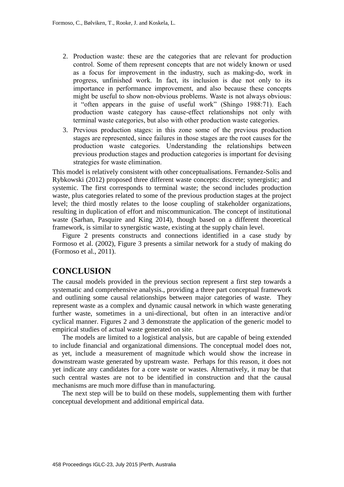- 2. Production waste: these are the categories that are relevant for production control. Some of them represent concepts that are not widely known or used as a focus for improvement in the industry, such as making-do, work in progress, unfinished work. In fact, its inclusion is due not only to its importance in performance improvement, and also because these concepts might be useful to show non-obvious problems. Waste is not always obvious: it "often appears in the guise of useful work" (Shingo 1988:71). Each production waste category has cause-effect relationships not only with terminal waste categories, but also with other production waste categories.
- 3. Previous production stages: in this zone some of the previous production stages are represented, since failures in those stages are the root causes for the production waste categories. Understanding the relationships between previous production stages and production categories is important for devising strategies for waste elimination.

This model is relatively consistent with other conceptualisations. Fernandez-Solis and Rybkowski (2012) proposed three different waste concepts: discrete; synergistic; and systemic. The first corresponds to terminal waste; the second includes production waste, plus categories related to some of the previous production stages at the project level; the third mostly relates to the loose coupling of stakeholder organizations, resulting in duplication of effort and miscommunication. The concept of institutional waste (Sarhan, Pasquire and King 2014), though based on a different theoretical framework, is similar to synergistic waste, existing at the supply chain level.

Figure 2 presents constructs and connections identified in a case study by Formoso et al. (2002), Figure 3 presents a similar network for a study of making do (Formoso et al., 2011).

## **CONCLUSION**

The causal models provided in the previous section represent a first step towards a systematic and comprehensive analysis., providing a three part conceptual framework and outlining some causal relationships between major categories of waste. They represent waste as a complex and dynamic causal network in which waste generating further waste, sometimes in a uni-directional, but often in an interactive and/or cyclical manner. Figures 2 and 3 demonstrate the application of the generic model to empirical studies of actual waste generated on site.

The models are limited to a logistical analysis, but are capable of being extended to include financial and organizational dimensions. The conceptual model does not, as yet, include a measurement of magnitude which would show the increase in downstream waste generated by upstream waste. Perhaps for this reason, it does not yet indicate any candidates for a core waste or wastes. Alternatively, it may be that such central wastes are not to be identified in construction and that the causal mechanisms are much more diffuse than in manufacturing.

The next step will be to build on these models, supplementing them with further conceptual development and additional empirical data.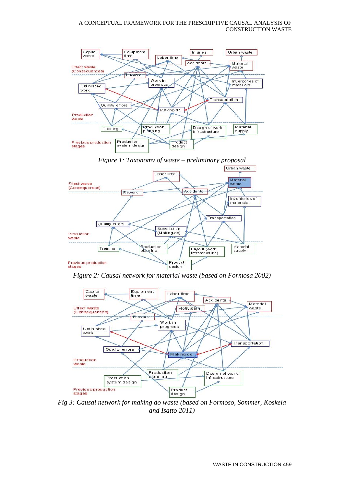



*Figure 2: Causal network for material waste (based on Formosa 2002)*



*Fig 3: Causal network for making do waste (based on Formoso, Sommer, Koskela and Isatto 2011)*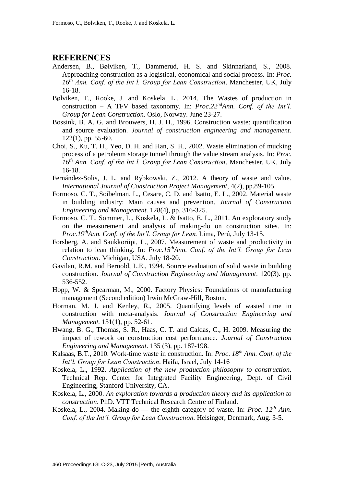## **REFERENCES**

- Andersen, B., Bølviken, T., Dammerud, H. S. and Skinnarland, S., 2008. Approaching construction as a logistical, economical and social process. In: *Proc. 16th Ann. Conf. of the Int'l. Group for Lean Construction*. Manchester, UK, July 16-18.
- Bølviken, T., Rooke, J. and Koskela, L., 2014. The Wastes of production in construction – A TFV based taxonomy. In: *Proc.22ndAnn. Conf. of the Int'l. Group for Lean Construction*. Oslo, Norway. June 23-27.
- Bossink, B. A. G. and Brouwers, H. J. H., 1996. Construction waste: quantification and source evaluation. *Journal of construction engineering and management.* 122(1), pp. 55-60.
- Choi, S., Ku, T. H., Yeo, D. H. and Han, S. H., 2002. Waste elimination of mucking process of a petroleum storage tunnel through the value stream analysis. In: *Proc. 16th Ann. Conf. of the Int'l. Group for Lean Construction*. Manchester, UK, July 16-18.
- Fernández-Solis, J. L. and Rybkowski, Z., 2012. A theory of waste and value. *International Journal of Construction Project Management*, 4(2), pp.89-105.
- Formoso, C. T., Soibelman. L., Cesare, C. D. and Isatto, E. L., 2002. Material waste in building industry: Main causes and prevention. *Journal of Construction Engineering and Management.* 128(4), pp. 316-325.
- Formoso, C. T., Sommer, L., Koskela, L. & Isatto, E. L., 2011. An exploratory study on the measurement and analysis of making-do on construction sites. In: *Proc.19thAnn. Conf. of the Int'l. Group for Lean.* Lima, Perú, July 13-15.
- Forsberg, A. and Saukkoriipi, L., 2007. Measurement of waste and productivity in relation to lean thinking. In: *Proc.15thAnn. Conf. of the Int'l. Group for Lean Construction*. Michigan, USA. July 18-20.
- Gavilan, R.M. and Bernold, L.E., 1994. Source evaluation of solid waste in building construction. *Journal of Construction Engineering and Management.* 120(3). pp. 536-552.
- Hopp, W. & Spearman, M., 2000. Factory Physics: Foundations of manufacturing management (Second edition) Irwin McGraw-Hill, Boston.
- Horman, M. J. and Kenley, R., 2005. Quantifying levels of wasted time in construction with meta-analysis. *Journal of Construction Engineering and Management.* 131(1), pp. 52-61.
- Hwang, B. G., Thomas, S. R., Haas, C. T. and Caldas, C., H. 2009. Measuring the impact of rework on construction cost performance. *Journal of Construction Engineering and Management*. 135 (3), pp. 187-198.
- Kalsaas, B.T., 2010. Work-time waste in construction. In: *Proc*. *18th Ann. Conf. of the Int'l. Group for Lean Construction*. Haifa, Israel, July 14-16
- Koskela, L., 1992. *Application of the new production philosophy to construction.* Technical Rep. Center for Integrated Facility Engineering, Dept. of Civil Engineering, Stanford University, CA.
- Koskela, L., 2000. *An exploration towards a production theory and its application to construction*. PhD. VTT Technical Research Centre of Finland.
- Koskela, L., 2004. Making-do the eighth category of waste*.* In: *Proc. 12th Ann. Conf. of the Int'l. Group for Lean Construction. Helsingør, Denmark, Aug. 3-5.*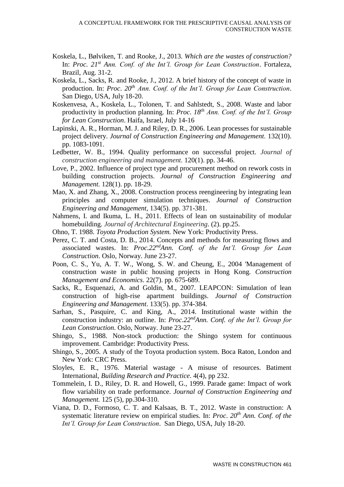- Koskela, L., Bølviken, T. and Rooke, J., 2013. *Which are the wastes of construction?* In: *Proc. 21st Ann. Conf. of the Int'l. Group for Lean Construction*. Fortaleza, Brazil, Aug. 31-2.
- Koskela, L., Sacks, R. and Rooke, J., 2012. A brief history of the concept of waste in production. In: *Proc*. *20th Ann. Conf. of the Int'l. Group for Lean Construction*. San Diego, USA, July 18-20.
- Koskenvesa, A., Koskela, L., Tolonen, T. and Sahlstedt, S., 2008. Waste and labor productivity in production planning. In: *Proc*. *18th Ann. Conf. of the Int'l. Group for Lean Construction*. Haifa, Israel, July 14-16
- Lapinski, A. R., Horman, M. J. and Riley, D. R., 2006. Lean processes for sustainable project delivery. *Journal of Construction Engineering and Management.* 132(10). pp. 1083-1091.
- Ledbetter, W. B., 1994. Quality performance on successful project. *Journal of construction engineering and management.* 120(1). pp. 34-46.
- Love, P., 2002. Influence of project type and procurement method on rework costs in building construction projects. *Journal of Construction Engineering and Management.* 128(1). pp. 18-29.
- Mao, X. and Zhang, X., 2008. Construction process reengineering by integrating lean principles and computer simulation techniques. *Journal of Construction Engineering and Management,* 134(5). pp. 371-381.
- Nahmens, I. and Ikuma, L. H., 2011. Effects of lean on sustainability of modular homebuilding. *Journal of Architectural Engineering*. (2). pp.25.
- Ohno, T. 1988. *Toyota Production System.* New York: Productivity Press.
- Perez, C. T. and Costa, D. B., 2014. Concepts and methods for measuring flows and associated wastes. In: *Proc.22ndAnn. Conf. of the Int'l. Group for Lean Construction*. Oslo, Norway. June 23-27.
- Poon, C. S., Yu, A. T. W., Wong, S. W. and Cheung, E., 2004 'Management of construction waste in public housing projects in Hong Kong. *Construction Management and Economics*. 22(7). pp. 675-689.
- Sacks, R., Esquenazi, A. and Goldin, M., 2007. LEAPCON: Simulation of lean construction of high-rise apartment buildings. *Journal of Construction Engineering and Management*. 133(5). pp. 374-384.
- Sarhan, S., Pasquire, C. and King, A., 2014. Institutional waste within the construction industry: an outline. In: *Proc.22ndAnn. Conf. of the Int'l. Group for Lean Construction*. Oslo, Norway. June 23-27.
- Shingo, S., 1988. Non-stock production: the Shingo system for continuous improvement. Cambridge: Productivity Press.
- Shingo, S., 2005. A study of the Toyota production system. Boca Raton, London and New York: CRC Press.
- Sloyles, E. R., 1976. Material wastage A misuse of resources. Batiment International, *Building Research and Practice*. 4(4), pp 232.
- Tommelein, I. D., Riley, D. R. and Howell, G., 1999. Parade game: Impact of work flow variability on trade performance. *Journal of Construction Engineering and Management.* 125 (5), pp.304-310.
- Viana, D. D., Formoso, C. T. and Kalsaas, B. T., 2012. Waste in construction: A systematic literature review on empirical studies. In: *Proc*. *20th Ann. Conf. of the Int'l. Group for Lean Construction*. San Diego, USA, July 18-20.